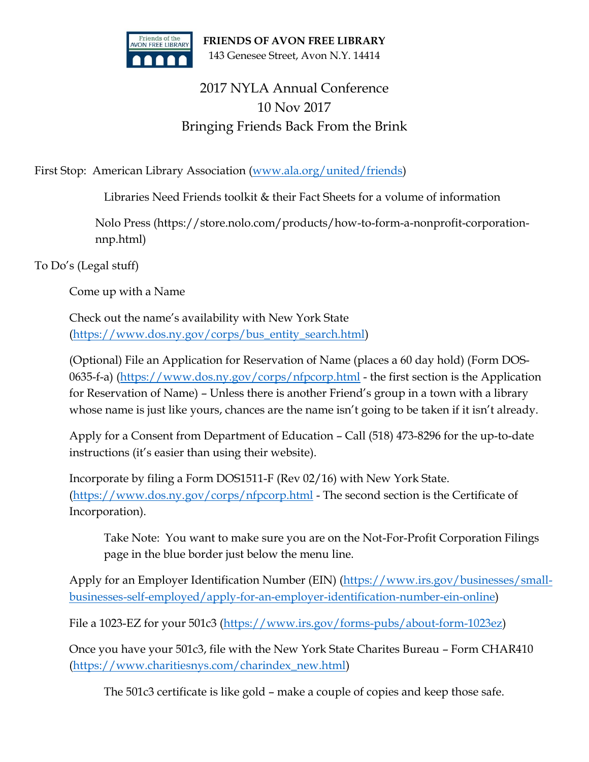

**FRIENDS OF AVON FREE LIBRARY** 143 Genesee Street, Avon N.Y. 14414

## 2017 NYLA Annual Conference 10 Nov 2017 Bringing Friends Back From the Brink

First Stop: American Library Association [\(www.ala.org/united/friends\)](http://www.ala.org/united/friends)

Libraries Need Friends toolkit & their Fact Sheets for a volume of information

Nolo Press (https://store.nolo.com/products/how-to-form-a-nonprofit-corporationnnp.html)

To Do's (Legal stuff)

Come up with a Name

Check out the name's availability with New York State [\(https://www.dos.ny.gov/corps/bus\\_entity\\_search.html\)](https://www.dos.ny.gov/corps/bus_entity_search.html)

(Optional) File an Application for Reservation of Name (places a 60 day hold) (Form DOS-0635-f-a) [\(https://www.dos.ny.gov/corps/nfpcorp.html](https://www.dos.ny.gov/corps/nfpcorp.html) - the first section is the Application for Reservation of Name) – Unless there is another Friend's group in a town with a library whose name is just like yours, chances are the name isn't going to be taken if it isn't already.

Apply for a Consent from Department of Education – Call (518) 473-8296 for the up-to-date instructions (it's easier than using their website).

Incorporate by filing a Form DOS1511-F (Rev 02/16) with New York State. [\(https://www.dos.ny.gov/corps/nfpcorp.html](https://www.dos.ny.gov/corps/nfpcorp.html) - The second section is the Certificate of Incorporation).

Take Note: You want to make sure you are on the Not-For-Profit Corporation Filings page in the blue border just below the menu line.

Apply for an Employer Identification Number (EIN) [\(https://www.irs.gov/businesses/small](https://www.irs.gov/businesses/small-businesses-self-employed/apply-for-an-employer-identification-number-ein-online)[businesses-self-employed/apply-for-an-employer-identification-number-ein-online\)](https://www.irs.gov/businesses/small-businesses-self-employed/apply-for-an-employer-identification-number-ein-online)

File a 1023-EZ for your 501c3 [\(https://www.irs.gov/forms-pubs/about-form-1023ez\)](https://www.irs.gov/forms-pubs/about-form-1023ez)

Once you have your 501c3, file with the New York State Charites Bureau – Form CHAR410 [\(https://www.charitiesnys.com/charindex\\_new.html\)](https://www.charitiesnys.com/charindex_new.html)

The 501c3 certificate is like gold – make a couple of copies and keep those safe.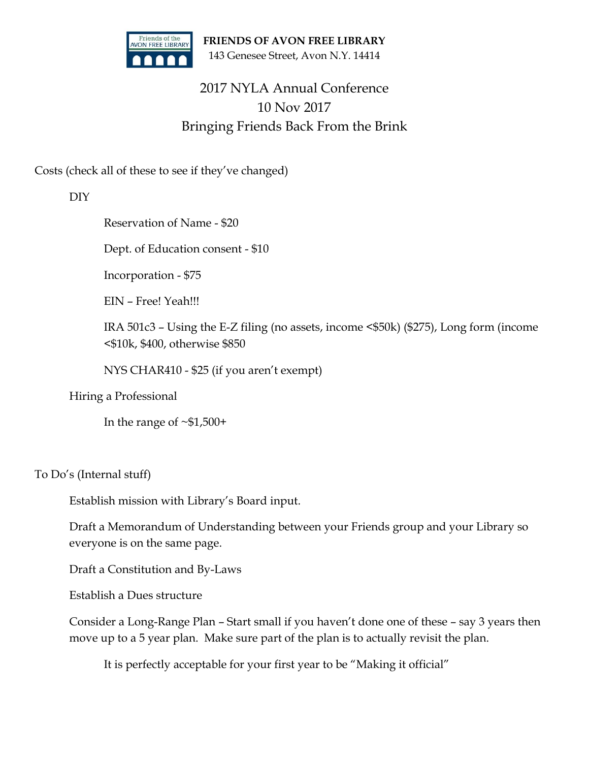

**FRIENDS OF AVON FREE LIBRARY** 143 Genesee Street, Avon N.Y. 14414

## 2017 NYLA Annual Conference 10 Nov 2017 Bringing Friends Back From the Brink

Costs (check all of these to see if they've changed)

DIY

Reservation of Name - \$20

Dept. of Education consent - \$10

Incorporation - \$75

EIN – Free! Yeah!!!

IRA 501c3 – Using the E-Z filing (no assets, income <\$50k) (\$275), Long form (income <\$10k, \$400, otherwise \$850

NYS CHAR410 - \$25 (if you aren't exempt)

Hiring a Professional

In the range of  $~51,500+$ 

To Do's (Internal stuff)

Establish mission with Library's Board input.

Draft a Memorandum of Understanding between your Friends group and your Library so everyone is on the same page.

Draft a Constitution and By-Laws

Establish a Dues structure

Consider a Long-Range Plan – Start small if you haven't done one of these – say 3 years then move up to a 5 year plan. Make sure part of the plan is to actually revisit the plan.

It is perfectly acceptable for your first year to be "Making it official"